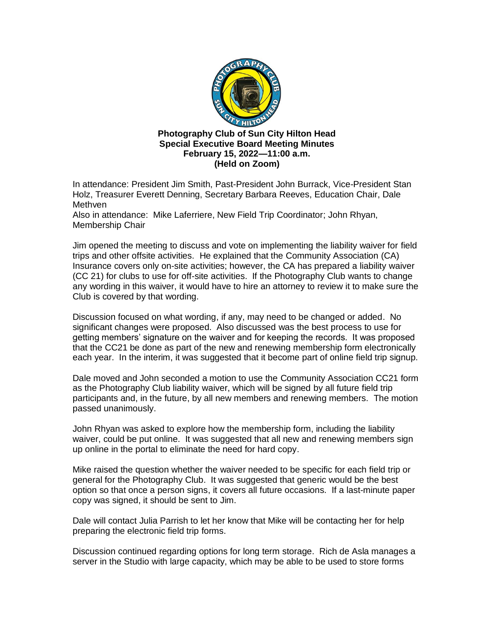

## **Photography Club of Sun City Hilton Head Special Executive Board Meeting Minutes February 15, 2022—11:00 a.m. (Held on Zoom)**

In attendance: President Jim Smith, Past-President John Burrack, Vice-President Stan Holz, Treasurer Everett Denning, Secretary Barbara Reeves, Education Chair, Dale Methven

Also in attendance: Mike Laferriere, New Field Trip Coordinator; John Rhyan, Membership Chair

Jim opened the meeting to discuss and vote on implementing the liability waiver for field trips and other offsite activities. He explained that the Community Association (CA) Insurance covers only on-site activities; however, the CA has prepared a liability waiver (CC 21) for clubs to use for off-site activities. If the Photography Club wants to change any wording in this waiver, it would have to hire an attorney to review it to make sure the Club is covered by that wording.

Discussion focused on what wording, if any, may need to be changed or added. No significant changes were proposed. Also discussed was the best process to use for getting members' signature on the waiver and for keeping the records. It was proposed that the CC21 be done as part of the new and renewing membership form electronically each year. In the interim, it was suggested that it become part of online field trip signup.

Dale moved and John seconded a motion to use the Community Association CC21 form as the Photography Club liability waiver, which will be signed by all future field trip participants and, in the future, by all new members and renewing members. The motion passed unanimously.

John Rhyan was asked to explore how the membership form, including the liability waiver, could be put online. It was suggested that all new and renewing members sign up online in the portal to eliminate the need for hard copy.

Mike raised the question whether the waiver needed to be specific for each field trip or general for the Photography Club. It was suggested that generic would be the best option so that once a person signs, it covers all future occasions. If a last-minute paper copy was signed, it should be sent to Jim.

Dale will contact Julia Parrish to let her know that Mike will be contacting her for help preparing the electronic field trip forms.

Discussion continued regarding options for long term storage. Rich de Asla manages a server in the Studio with large capacity, which may be able to be used to store forms